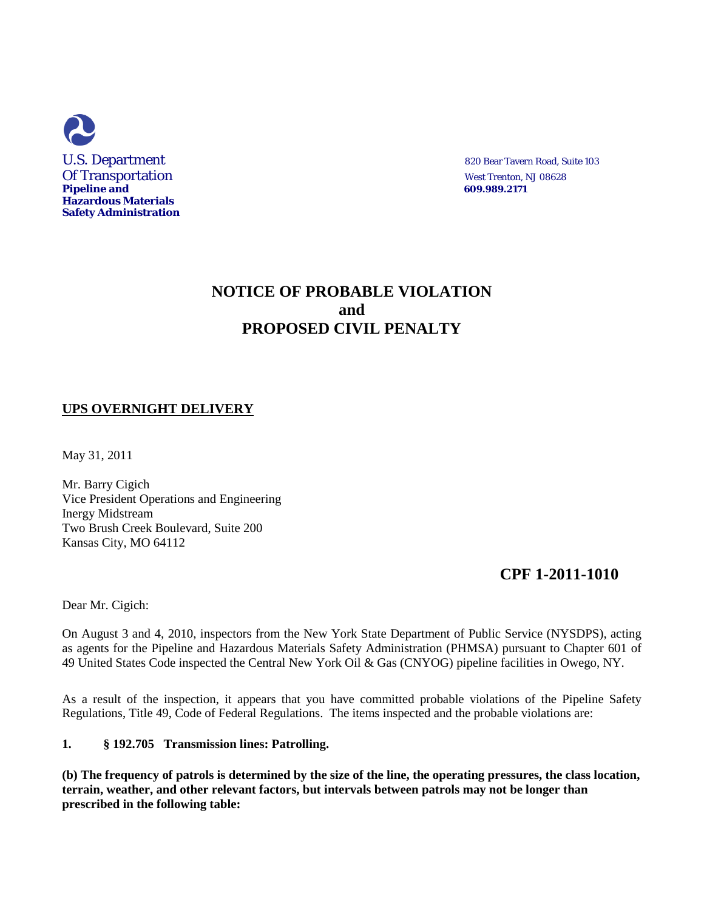

# **NOTICE OF PROBABLE VIOLATION and PROPOSED CIVIL PENALTY**

## **UPS OVERNIGHT DELIVERY**

May 31, 2011

Mr. Barry Cigich Vice President Operations and Engineering Inergy Midstream Two Brush Creek Boulevard, Suite 200 Kansas City, MO 64112

# **CPF 1-2011-1010**

Dear Mr. Cigich:

On August 3 and 4, 2010, inspectors from the New York State Department of Public Service (NYSDPS), acting as agents for the Pipeline and Hazardous Materials Safety Administration (PHMSA) pursuant to Chapter 601 of 49 United States Code inspected the Central New York Oil & Gas (CNYOG) pipeline facilities in Owego, NY.

As a result of the inspection, it appears that you have committed probable violations of the Pipeline Safety Regulations, Title 49, Code of Federal Regulations. The items inspected and the probable violations are:

### **1. § 192.705 Transmission lines: Patrolling.**

**(b) The frequency of patrols is determined by the size of the line, the operating pressures, the class location, terrain, weather, and other relevant factors, but intervals between patrols may not be longer than prescribed in the following table:**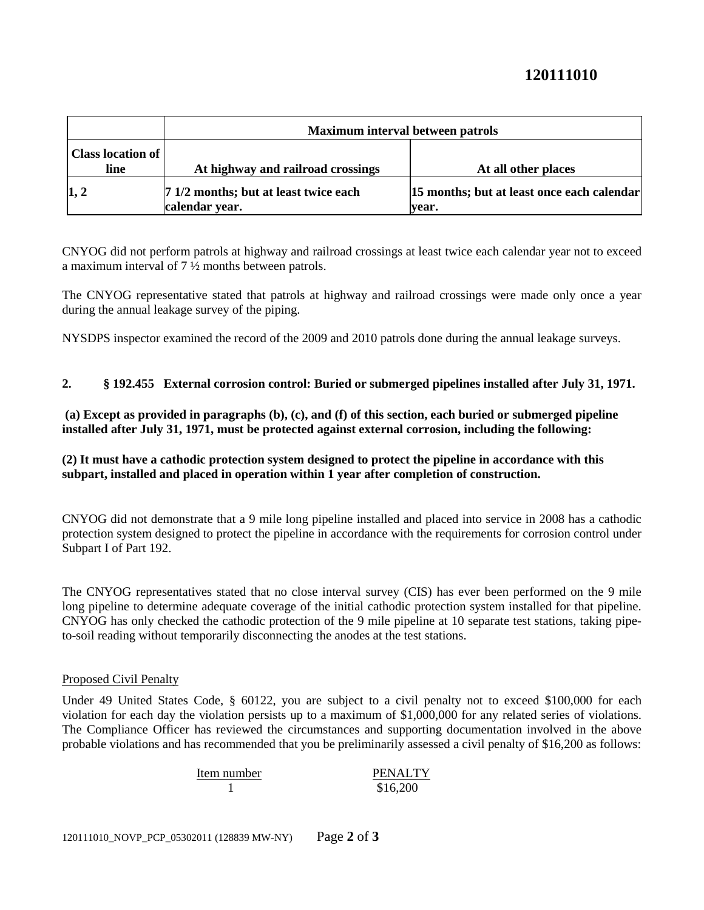# **120111010**

|                                  | Maximum interval between patrols                        |                                                       |
|----------------------------------|---------------------------------------------------------|-------------------------------------------------------|
| <b>Class location of</b><br>line | At highway and railroad crossings                       | At all other places                                   |
| 1, 2                             | 7 1/2 months; but at least twice each<br>calendar year. | [15 months; but at least once each calendar]<br>vear. |

CNYOG did not perform patrols at highway and railroad crossings at least twice each calendar year not to exceed a maximum interval of 7 ½ months between patrols.

The CNYOG representative stated that patrols at highway and railroad crossings were made only once a year during the annual leakage survey of the piping.

NYSDPS inspector examined the record of the 2009 and 2010 patrols done during the annual leakage surveys.

## **2. § 192.455 External corrosion control: Buried or submerged pipelines installed after July 31, 1971.**

**(a) Except as provided in paragraphs (b), (c), and (f) of this section, each buried or submerged pipeline installed after July 31, 1971, must be protected against external corrosion, including the following:** 

## **(2) It must have a cathodic protection system designed to protect the pipeline in accordance with this subpart, installed and placed in operation within 1 year after completion of construction.**

CNYOG did not demonstrate that a 9 mile long pipeline installed and placed into service in 2008 has a cathodic protection system designed to protect the pipeline in accordance with the requirements for corrosion control under Subpart I of Part 192.

The CNYOG representatives stated that no close interval survey (CIS) has ever been performed on the 9 mile long pipeline to determine adequate coverage of the initial cathodic protection system installed for that pipeline. CNYOG has only checked the cathodic protection of the 9 mile pipeline at 10 separate test stations, taking pipeto-soil reading without temporarily disconnecting the anodes at the test stations.

### Proposed Civil Penalty

Under 49 United States Code, § 60122, you are subject to a civil penalty not to exceed \$100,000 for each violation for each day the violation persists up to a maximum of \$1,000,000 for any related series of violations. The Compliance Officer has reviewed the circumstances and supporting documentation involved in the above probable violations and has recommended that you be preliminarily assessed a civil penalty of \$16,200 as follows:

| Item number | <b>PENALTY</b> |
|-------------|----------------|
|             | \$16,200       |